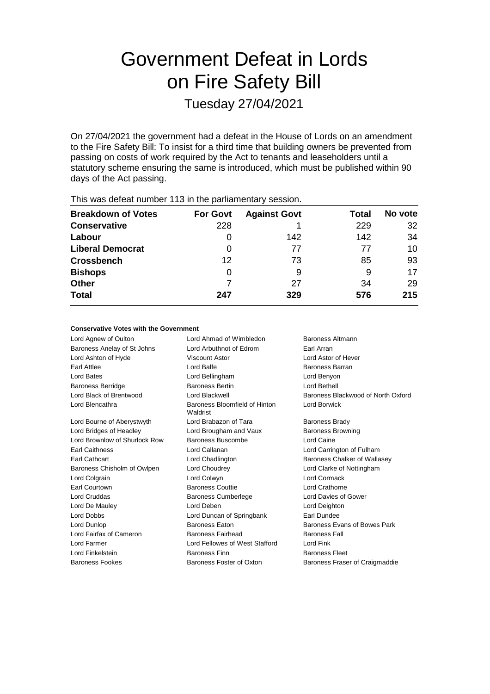# Government Defeat in Lords on Fire Safety Bill

Tuesday 27/04/2021

On 27/04/2021 the government had a defeat in the House of Lords on an amendment to the Fire Safety Bill: To insist for a third time that building owners be prevented from passing on costs of work required by the Act to tenants and leaseholders until a statutory scheme ensuring the same is introduced, which must be published within 90 days of the Act passing.

| This mas asteathannest the interest parnamentary ecosionic |                 |                     |       |         |  |  |
|------------------------------------------------------------|-----------------|---------------------|-------|---------|--|--|
| <b>Breakdown of Votes</b>                                  | <b>For Govt</b> | <b>Against Govt</b> | Total | No vote |  |  |
| <b>Conservative</b>                                        | 228             |                     | 229   | 32      |  |  |
| Labour                                                     |                 | 142                 | 142   | 34      |  |  |
| <b>Liberal Democrat</b>                                    | 0               | 77                  | 77    | 10      |  |  |
| <b>Crossbench</b>                                          | 12              | 73                  | 85    | 93      |  |  |
| <b>Bishops</b>                                             | 0               | 9                   | 9     | 17      |  |  |
| <b>Other</b>                                               |                 | 27                  | 34    | 29      |  |  |
| <b>Total</b>                                               | 247             | 329                 | 576   | 215     |  |  |
|                                                            |                 |                     |       |         |  |  |

This was defeat number 113 in the parliamentary session.

## **Conservative Votes with the Government**

| Lord Ahmad of Wimbledon                              | Baroness Altmann               |  |
|------------------------------------------------------|--------------------------------|--|
| Lord Arbuthnot of Edrom<br>Earl Arran                |                                |  |
| Viscount Astor                                       | Lord Astor of Hever            |  |
| Lord Balfe                                           | <b>Baroness Barran</b>         |  |
| Lord Bellingham                                      | Lord Benyon                    |  |
| <b>Baroness Bertin</b>                               | Lord Bethell                   |  |
| Baroness Blackwood of North Oxford<br>Lord Blackwell |                                |  |
| Baroness Bloomfield of Hinton<br>Waldrist            | Lord Borwick                   |  |
| Lord Brabazon of Tara                                | <b>Baroness Brady</b>          |  |
| Lord Brougham and Vaux<br><b>Baroness Browning</b>   |                                |  |
| Baroness Buscombe                                    | Lord Caine                     |  |
| Lord Callanan                                        | Lord Carrington of Fulham      |  |
| Lord Chadlington                                     | Baroness Chalker of Wallasey   |  |
| Lord Choudrey                                        | Lord Clarke of Nottingham      |  |
| Lord Colwyn                                          | Lord Cormack                   |  |
| <b>Baroness Couttie</b>                              | Lord Crathorne                 |  |
| <b>Baroness Cumberlege</b>                           | Lord Davies of Gower           |  |
| Lord Deben                                           | Lord Deighton                  |  |
| Lord Duncan of Springbank                            | Earl Dundee                    |  |
| <b>Baroness Eaton</b>                                | Baroness Evans of Bowes Park   |  |
| <b>Baroness Fairhead</b>                             | <b>Baroness Fall</b>           |  |
| Lord Fellowes of West Stafford<br>Lord Fink          |                                |  |
| Baroness Finn                                        | <b>Baroness Fleet</b>          |  |
| Baroness Foster of Oxton                             | Baroness Fraser of Craigmaddie |  |
|                                                      |                                |  |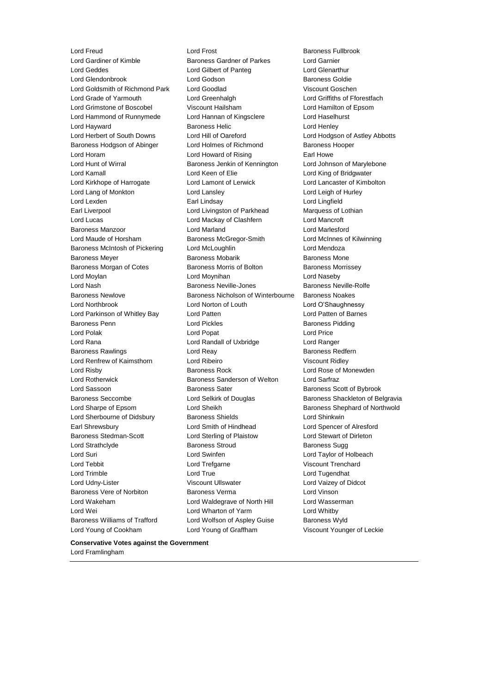Lord Young of Cookham Lord Young of Graffham Viscount Younger of Leckie

Lord Freud Lord Frost Baroness Fullbrook Lord Gardiner of Kimble **Baroness Gardner of Parkes** Lord Garnier Lord Geddes Lord Gilbert of Panteg Lord Glenarthur Lord Glendonbrook Lord Godson Baroness Goldie Lord Goldsmith of Richmond Park Lord Goodlad Viscount Goschen Lord Grade of Yarmouth Lord Greenhalgh Lord Griffiths of Fforestfach Lord Grimstone of Boscobel Viscount Hailsham Lord Hamilton of Epsom Lord Hammond of Runnymede Lord Hannan of Kingsclere Lord Haselhurst Lord Hayward **Baroness Helic** Lord Henley **Lord Henley** Lord Herbert of South Downs Lord Hill of Oareford Lord Hodgson of Astley Abbotts Baroness Hodgson of Abinger Lord Holmes of Richmond Baroness Hooper Lord Horam **Lord Howard of Rising** Earl Howe Lord Hunt of Wirral **Baroness Jenkin of Kennington** Lord Johnson of Marylebone Lord Kamall Lord Keen of Elie Lord King of Bridgwater Lord Kirkhope of Harrogate Lord Lamont of Lerwick Lord Lancaster of Kimbolton Lord Lang of Monkton Lord Lansley Lord Leigh of Hurley Lord Lexden Earl Lindsay Lord Lingfield Earl Liverpool Lord Livingston of Parkhead Marquess of Lothian Lord Lucas Lord Mackay of Clashfern Lord Mancroft Baroness Manzoor Lord Marland Lord Marlesford Lord Maude of Horsham Baroness McGregor-Smith Lord McInnes of Kilwinning Baroness McIntosh of Pickering Lord McLoughlin Lord Mendoza Baroness Meyer **Baroness Mobarik** Baroness Mobarik Baroness Mone Baroness Morgan of Cotes **Baroness Morris of Bolton** Baroness Morrissey Lord Moylan Lord Moynihan Lord Naseby Lord Nash Baroness Neville-Jones Baroness Neville-Rolfe Baroness Newlove Baroness Nicholson of Winterbourne Baroness Noakes Lord Northbrook Lord Norton of Louth Lord O'Shaughnessy Lord Parkinson of Whitley Bay Lord Patten Lord Patten of Barnes Baroness Penn **Communist Constructed Baroness Pidding** Baroness Pidding Lord Polak Lord Popat Lord Price Lord Rana Lord Randall of Uxbridge Lord Ranger Baroness Rawlings **Rawlings Lord Reay 1996 Baroness Redfern** Lord Renfrew of Kaimsthorn Lord Ribeiro **Viscount Ridley** Viscount Ridley Lord Risby Baroness Rock Lord Rose of Monewden Lord Rotherwick Baroness Sanderson of Welton Lord Sarfraz Lord Sassoon **Baroness Sater** Baroness Scott of Bybrook Baroness Seccombe **Lord Selkirk of Douglas** Baroness Shackleton of Belgravia Lord Sharpe of Epsom Lord Sheikh Baroness Shephard of Northwold Lord Sherbourne of Didsbury Baroness Shields Lord Shinkwin Earl Shrewsbury Lord Smith of Hindhead Lord Spencer of Alresford Baroness Stedman-Scott Lord Sterling of Plaistow Lord Stewart of Dirleton Lord Strathclyde **Baroness Stroud** Baroness Sugg Baroness Sugg Lord Suri Lord Swinfen Lord Taylor of Holbeach Lord Tebbit Lord Trefgarne Viscount Trenchard Lord Trimble **Lord True** Lord True **Lord True** Lord Tugendhat Lord Udny-Lister Viscount Ullswater Lord Vaizey of Didcot Baroness Vere of Norbiton Baroness Verma Lord Vinson Lord Wakeham Lord Waldegrave of North Hill Lord Wasserman Lord Wei **Lord Wharton of Yarm** Cord Whatby Lord Whitby Baroness Williams of Trafford Lord Wolfson of Aspley Guise Baroness Wyld

#### **Conservative Votes against the Government**

Lord Framlingham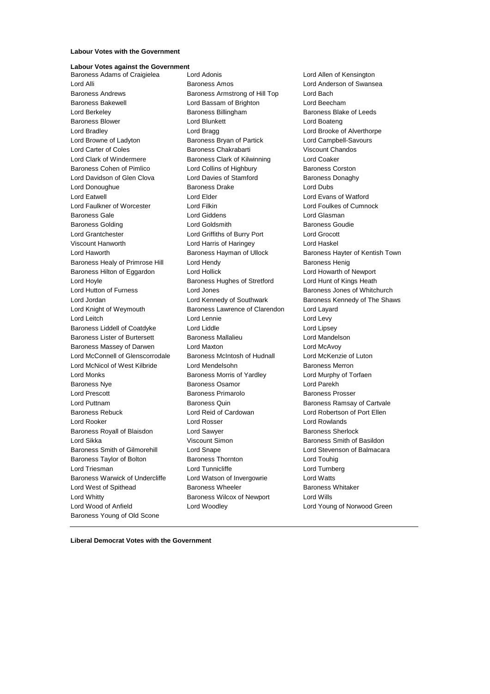## **Labour Votes with the Government**

### **Labour Votes against the Government**

Baroness Adams of Craigielea Lord Adonis Lord Allen of Kensington Lord Alli Baroness Amos Lord Anderson of Swansea Baroness Andrews Baroness Armstrong of Hill Top Lord Bach Baroness Bakewell **Lord Bassam of Brighton** Lord Beecham Lord Berkeley **Baroness Billingham** Baroness Billingham Baroness Blake of Leeds Baroness Blower **Lord Blunkett** Lord Boateng Lord Boateng Lord Bradley **Lord Bragg Lord Bragg Lord Brooke of Alverthorpe** Lord Browne of Ladyton Baroness Bryan of Partick Lord Campbell-Savours Lord Carter of Coles Baroness Chakrabarti Viscount Chandos Lord Clark of Windermere Baroness Clark of Kilwinning Lord Coaker Baroness Cohen of Pimlico **Lord Collins of Highbury** Baroness Corston Lord Davidson of Glen Clova Lord Davies of Stamford Baroness Donaghy Lord Donoughue **Baroness Drake** Lord Dubs Lord Eatwell Lord Elder Lord Evans of Watford Lord Faulkner of Worcester Lord Filkin Lord Foulkes of Cumnock Baroness Gale Lord Giddens Lord Glasman Baroness Golding **Collect Contains Containers** Lord Goldsmith **Baroness Goudie** Lord Grantchester Lord Griffiths of Burry Port Lord Grocott Viscount Hanworth Lord Harris of Haringey Lord Haskel Lord Haworth Baroness Hayman of Ullock Baroness Hayter of Kentish Town Baroness Healy of Primrose Hill Lord Hendy Contract Report Baroness Henig Baroness Hilton of Eggardon Lord Hollick Lord Howarth of Newport Lord Hoyle **Baroness Hughes of Stretford** Lord Hunt of Kings Heath Lord Hunt of Kings Heath Lord Hutton of Furness **Lord Jones** Baroness Jones of Whitchurch Lord Jordan **Lord Kennedy of Southwark** Baroness Kennedy of The Shaws Lord Knight of Weymouth Baroness Lawrence of Clarendon Lord Layard Lord Leitch **Lord Lennie** Lord Lennie **Lord Levy** Baroness Liddell of Coatdyke Lord Liddle Lord Lipsey Baroness Lister of Burtersett Baroness Mallalieu Lord Mandelson Baroness Massey of Darwen Lord Maxton Lord McAvoy Lord McConnell of Glenscorrodale Baroness McIntosh of Hudnall Lord McKenzie of Luton Lord McNicol of West Kilbride Lord Mendelsohn Baroness Merron Lord Monks Baroness Morris of Yardley Lord Murphy of Torfaen Baroness Nye Baroness Osamor Lord Parekh Lord Prescott Baroness Primarolo Baroness Prosser Lord Puttnam Baroness Quin Baroness Ramsay of Cartvale Baroness Rebuck Lord Reid of Cardowan Lord Robertson of Port Ellen Lord Rooker Lord Rosser Lord Rowlands Baroness Royall of Blaisdon **Lord Sawyer Baroness Sherlock Baroness Sherlock** Lord Sikka **Viscount Simon Baroness Smith of Basildon** Baroness Smith of Basildon Baroness Smith of Gilmorehill Lord Snape Lord Stevenson of Balmacara Baroness Taylor of Bolton Baroness Thornton Lord Touhig Lord Triesman **Lord Tunnicliffe** Lord Tunnicliffe Lord Turnberg Baroness Warwick of Undercliffe Lord Watson of Invergowrie Lord Watts Lord West of Spithead Baroness Wheeler Baroness Whitaker Lord Whitty **Baroness Wilcox of Newport** Lord Wills Lord Wood of Anfield Lord Woodley Lord Young of Norwood Green Baroness Young of Old Scone

**Liberal Democrat Votes with the Government**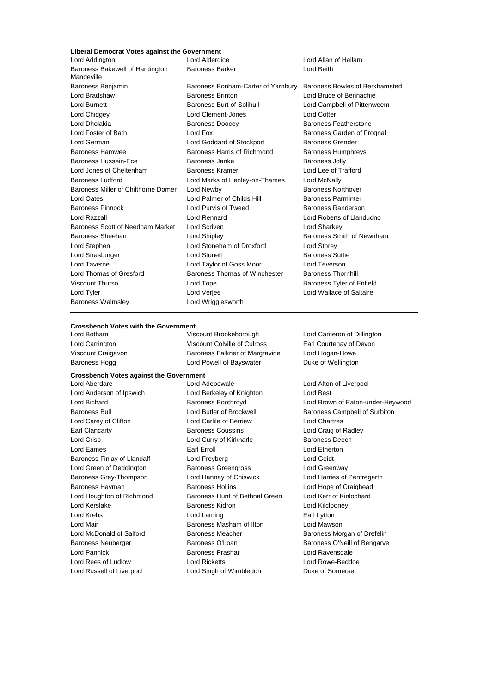## **Liberal Democrat Votes against the Government**

Lord Addington Lord Alderdice Lord Allan of Hallam Baroness Bakewell of Hardington Mandeville Baroness Benjamin Baroness Bonham-Carter of Yarnbury Baroness Bowles of Berkhamsted Lord Bradshaw Baroness Brinton Lord Bruce of Bennachie Lord Burnett **Baroness Burt of Solihull** Lord Campbell of Pittenweem Lord Chidgey Lord Clement-Jones Lord Cotter Lord Dholakia Baroness Doocey Baroness Featherstone Lord Foster of Bath Lord Fox Baroness Garden of Frognal<br>
Lord German Lord Goddard of Stockport Baroness Grender Baroness Hamwee Baroness Harris of Richmond Baroness Humphreys Baroness Hussein-Ece **Baroness Janke** Baroness Janke Baroness Jolly Lord Jones of Cheltenham Baroness Kramer Lord Lee of Trafford Baroness Ludford Lord Marks of Henley-on-Thames Lord McNally Baroness Miller of Chilthorne Domer Lord Newby **Baroness Northover** Baroness Northover Lord Oates **Lord Palmer of Childs Hill Baroness Parminter** Childs Hill Baroness Parminter Baroness Pinnock **Lord Purvis of Tweed** Baroness Randerson Lord Razzall Lord Rennard Lord Roberts of Llandudno Baroness Scott of Needham Market Lord Scriven Lord Sharkey Baroness Sheehan **Baroness** Sheehan Lord Shipley **Baroness Smith of Newnham** Lord Stephen Lord Stoneham of Droxford Lord Storey Lord Strasburger The Lord Stunell Baroness Suttie Lord Taverne Lord Taylor of Goss Moor Lord Teverson Lord Thomas of Gresford Baroness Thomas of Winchester Baroness Thornhill Viscount Thurso Lord Tope Baroness Tyler of Enfield Lord Tyler Lord Verjee Lord Wallace of Saltaire Baroness Walmsley **Lord Wrigglesworth** 

Baroness Barker **Lord Beith** Lord Goddard of Stockport Baroness Grender

#### **Crossbench Votes with the Government**

Lord Botham Viscount Brookeborough Lord Cameron of Dillington Lord Carrington Viscount Colville of Culross Earl Courtenay of Devon Viscount Craigavon Baroness Falkner of Margravine Lord Hogan-Howe Baroness Hogg **Lord Powell of Bayswater** Duke of Wellington

# **Crossbench Votes against the Government**

Lord Aberdare Lord Adebowale Lord Alton of Liverpool Lord Anderson of Ipswich Lord Berkeley of Knighton Lord Best Baroness Bull Lord Butler of Brockwell Baroness Campbell of Surbiton Lord Carey of Clifton Lord Carlile of Berriew Lord Chartres Earl Clancarty Baroness Coussins Lord Craig of Radley Lord Crisp Lord Curry of Kirkharle Baroness Deech Lord Eames Earl Erroll Lord Etherton Baroness Finlay of Llandaff Lord Freyberg Lord Ceidt Lord Green of Deddington Baroness Greengross Lord Greenway Baroness Grey-Thompson Lord Hannay of Chiswick Lord Harries of Pentregarth Baroness Hayman **Baroness Hollins** Baroness Hollins **Lord Hope of Craighead** Lord Houghton of Richmond Baroness Hunt of Bethnal Green Lord Kerr of Kinlochard Lord Kerslake Baroness Kidron Lord Kilclooney Lord Krebs **Lord Laming Lord Laming Earl Lytton** Lord Mair **Baroness Masham of Ilton** Lord Mawson Lord McDonald of Salford Baroness Meacher Baroness Morgan of Drefelin Baroness Neuberger **Baroness O'Loan** Baroness O'Neill of Bengarve Lord Pannick Baroness Prashar Lord Ravensdale Lord Rees of Ludlow Lord Ricketts Lord Rowe-Beddoe Lord Russell of Liverpool **Lord Singh of Wimbledon** Duke of Somerset

Lord Bichard **Baroness Boothroyd Baroness Boothroyd** Lord Brown of Eaton-under-Heywood